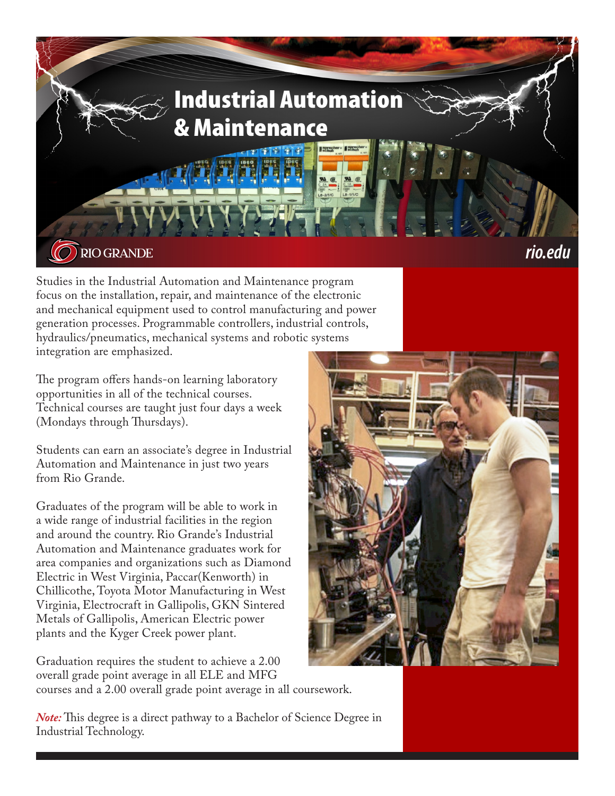

Studies in the Industrial Automation and Maintenance program focus on the installation, repair, and maintenance of the electronic and mechanical equipment used to control manufacturing and power generation processes. Programmable controllers, industrial controls, hydraulics/pneumatics, mechanical systems and robotic systems integration are emphasized.

The program offers hands-on learning laboratory opportunities in all of the technical courses. Technical courses are taught just four days a week (Mondays through Thursdays).

Students can earn an associate's degree in Industrial Automation and Maintenance in just two years from Rio Grande.

Graduates of the program will be able to work in a wide range of industrial facilities in the region and around the country. Rio Grande's Industrial Automation and Maintenance graduates work for area companies and organizations such as Diamond Electric in West Virginia, Paccar(Kenworth) in Chillicothe, Toyota Motor Manufacturing in West Virginia, Electrocraft in Gallipolis, GKN Sintered Metals of Gallipolis, American Electric power plants and the Kyger Creek power plant.

Graduation requires the student to achieve a 2.00 overall grade point average in all ELE and MFG courses and a 2.00 overall grade point average in all coursework.

*Note:* This degree is a direct pathway to a Bachelor of Science Degree in Industrial Technology.